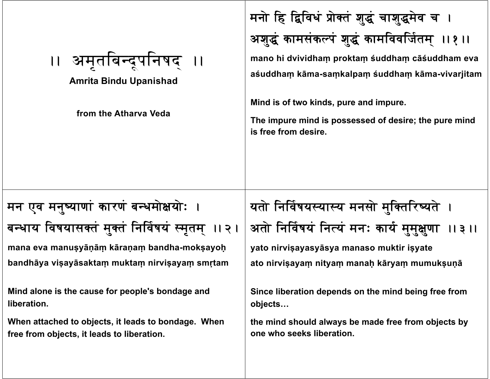| ।। अमृतबिन्दूपनिषद ।।<br><b>Amrita Bindu Upanishad</b><br>from the Atharva Veda                   | मनो हि द्विविधं प्रोक्तं शुद्धं चाशुद्धमेव च ।<br>अशुद्धं कामसंकल्पं शुद्धं कामविवर्जितम् ।। १।।<br>mano hi dvividham proktam śuddham cāśuddham eva<br>aśuddham kāma-samkalpam śuddham kāma-vivarjitam<br>Mind is of two kinds, pure and impure.<br>The impure mind is possessed of desire; the pure mind<br>is free from desire. |
|---------------------------------------------------------------------------------------------------|-----------------------------------------------------------------------------------------------------------------------------------------------------------------------------------------------------------------------------------------------------------------------------------------------------------------------------------|
| मन एव मनुष्याणां कारणं बन्धमोक्षयोः ।                                                             | यतो निर्विषयस्यास्य मनसो मुक्तिरिष्यते ।                                                                                                                                                                                                                                                                                          |
| बन्धाय विषयासक्तं मुक्तं निर्विषयं स्मृतम् ॥२।                                                    | अतो निर्विषयं नित्यं मनः कार्य मुमुक्षुणा<br>11311                                                                                                                                                                                                                                                                                |
| mana eva manuşyāṇāṃ kāraṇaṃ bandha-mokṣayoḥ                                                       | yato nirvisayasyāsya manaso muktir isyate                                                                                                                                                                                                                                                                                         |
| bandhāya vişayāsaktam muktam nirvişayam smrtam                                                    | ato nirvişayam nityam manah kāryam mumuksunā                                                                                                                                                                                                                                                                                      |
| Mind alone is the cause for people's bondage and<br>liberation.                                   | Since liberation depends on the mind being free from<br>objects                                                                                                                                                                                                                                                                   |
| When attached to objects, it leads to bondage. When<br>free from objects, it leads to liberation. | the mind should always be made free from objects by<br>one who seeks liberation.                                                                                                                                                                                                                                                  |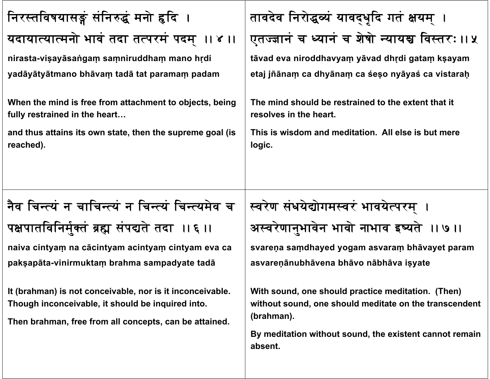| निरस्तविषयासङ्गं संनिरुद्धं मनो हृदि ।                                                                                                                                   | तावदेव निरोद्धव्यं यावद्धृदि गतं क्षयम् ।                                                                                                                                                        |
|--------------------------------------------------------------------------------------------------------------------------------------------------------------------------|--------------------------------------------------------------------------------------------------------------------------------------------------------------------------------------------------|
| यदायात्यात्मनो भावं तदा तत्परमं पदम् ।। ४ ।।                                                                                                                             | एतज्ज्ञानं च ध्यानं च शेषो न्यायश्च विस्तरः ।। ५                                                                                                                                                 |
| nirasta-visayāsangam samniruddham mano hrdi<br>yadāyātyātmano bhāvaṃ tadā tat paramaṃ padam<br>When the mind is free from attachment to objects, being                   | tāvad eva niroddhavyam yāvad dhrdi gatam kṣayam<br>etaj jñānam ca dhyānam ca śeso nyāyaś ca vistaraḥ<br>The mind should be restrained to the extent that it                                      |
| fully restrained in the heart                                                                                                                                            | resolves in the heart.                                                                                                                                                                           |
| and thus attains its own state, then the supreme goal (is<br>reached).                                                                                                   | This is wisdom and meditation. All else is but mere<br>logic.                                                                                                                                    |
| नैव चिन्त्यं न चाचिन्त्यं न चिन्त्यं चिन्त्यमेव च                                                                                                                        | स्वरेण संधयेद्योगमस्वरं भावयेत्परम् ।                                                                                                                                                            |
| पक्षपातविनिर्मुक्तं ब्रह्म संपद्यते तदा ।। ६ ॥<br>naiva cintyam na cācintyam acintyam cintyam eva ca                                                                     | अस्वरेणानुभावेन भावो नाभाव इष्यते ॥ ७॥<br>svareņa samdhayed yogam asvaram bhāvayet param                                                                                                         |
| pakṣapāta-vinirmuktaṃ brahma sampadyate tadā                                                                                                                             | asvareņānubhāvena bhāvo nābhāva isyate                                                                                                                                                           |
| It (brahman) is not conceivable, nor is it inconceivable.<br>Though inconceivable, it should be inquired into.<br>Then brahman, free from all concepts, can be attained. | With sound, one should practice meditation. (Then)<br>without sound, one should meditate on the transcendent<br>(brahman).<br>By meditation without sound, the existent cannot remain<br>absent. |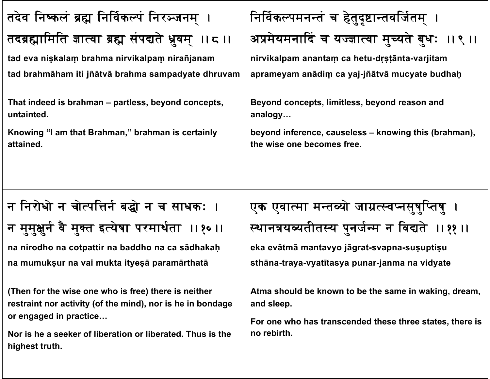| तदेव निष्कलं ब्रह्म निर्विकल्पं निरञ्जनम् ।                                                                                                                                                                                                                                                                                                                                                                                      | निर्विकल्पमनन्तं च हेतुदृष्टान्तवर्जितम् ।                                                                                                                                                                                                                                                                                                      |
|----------------------------------------------------------------------------------------------------------------------------------------------------------------------------------------------------------------------------------------------------------------------------------------------------------------------------------------------------------------------------------------------------------------------------------|-------------------------------------------------------------------------------------------------------------------------------------------------------------------------------------------------------------------------------------------------------------------------------------------------------------------------------------------------|
| तदब्रह्मामिति ज्ञात्वा ब्रह्म संपद्यते ध्रुवम् ॥ ८ ॥                                                                                                                                                                                                                                                                                                                                                                             | अप्रमेयमनादिं च यज्ज्ञात्वा मुच्यते बुधः ॥९॥                                                                                                                                                                                                                                                                                                    |
| tad eva nişkalam brahma nirvikalpam nirañjanam                                                                                                                                                                                                                                                                                                                                                                                   | nirvikalpam anantam ca hetu-drstānta-varjitam                                                                                                                                                                                                                                                                                                   |
| tad brahmāham iti jñātvā brahma sampadyate dhruvam                                                                                                                                                                                                                                                                                                                                                                               | aprameyam anādim ca yaj-jñātvā mucyate budhaḥ                                                                                                                                                                                                                                                                                                   |
| That indeed is brahman – partless, beyond concepts,                                                                                                                                                                                                                                                                                                                                                                              | Beyond concepts, limitless, beyond reason and                                                                                                                                                                                                                                                                                                   |
| untainted.                                                                                                                                                                                                                                                                                                                                                                                                                       | analogy                                                                                                                                                                                                                                                                                                                                         |
| Knowing "I am that Brahman," brahman is certainly                                                                                                                                                                                                                                                                                                                                                                                | beyond inference, causeless – knowing this (brahman),                                                                                                                                                                                                                                                                                           |
| attained.                                                                                                                                                                                                                                                                                                                                                                                                                        | the wise one becomes free.                                                                                                                                                                                                                                                                                                                      |
| न निरोधो न चोर्त्पत्तिर्न बद्धो न च साधकः ।<br>न मुमुक्षुर्न वै मुक्त इत्येषा परमार्थता ॥१०॥<br>na nirodho na cotpattir na baddho na ca sādhakaḥ<br>na mumukșur na vai mukta ityeșă paramārthatā<br>(Then for the wise one who is free) there is neither<br>restraint nor activity (of the mind), nor is he in bondage<br>or engaged in practice<br>Nor is he a seeker of liberation or liberated. Thus is the<br>highest truth. | एक एवात्मा मन्तव्यो जाग्रत्स्वप्नसूषुप्तिषु ।<br>स्थानत्रयव्यतीतस्य पुनर्जन्म न विद्यते ॥११॥<br>eka evātmā mantavyo jāgrat-svapna-susuptisu<br>sthāna-traya-vyatītasya punar-janma na vidyate<br>Atma should be known to be the same in waking, dream,<br>and sleep.<br>For one who has transcended these three states, there is<br>no rebirth. |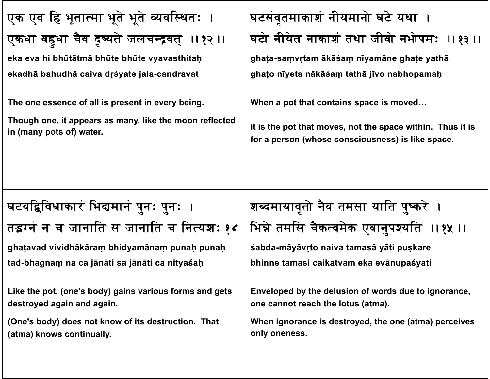| एक एव हि भूतात्मा भूते भूते व्यवस्थितः ।                                              | घटसंवृतमाकाशं नीयमानो घटे यथा ।                                                                                 |
|---------------------------------------------------------------------------------------|-----------------------------------------------------------------------------------------------------------------|
| एकधा बहुधा चैव दृष्यते जलचन्द्रवत् ।।१२ ।।                                            | घटो नीयेत नाकाशं तथा जीवो नभोपमः ।।१३ ।।                                                                        |
| eka eva hi bhūtātmā bhūte bhūte vyavasthitaḥ                                          | ghața-samvrtam ākāśam nīyamāne ghațe yathā                                                                      |
| ekadhā bahudhā caiva drśyate jala-candravat                                           | ghato nīyeta nākāśam tathā jīvo nabhopamah                                                                      |
| The one essence of all is present in every being.                                     | When a pot that contains space is moved                                                                         |
| Though one, it appears as many, like the moon reflected<br>in (many pots of) water.   | it is the pot that moves, not the space within. Thus it is<br>for a person (whose consciousness) is like space. |
|                                                                                       |                                                                                                                 |
|                                                                                       |                                                                                                                 |
| घटवद्विविधाकारं भिद्यमानं पुनः पुनः ।                                                 | शब्दमायावृतो नैव तमसा याति पुष्करे ।                                                                            |
| तइग्नं न च जानाति स जानाति च नित्यशः १४                                               | भिन्ने तमसि चैकत्वमेक एवानुपश्यति ।। १५ ।।                                                                      |
| ghatavad vividhākāram bhidyamānam punaḥ punaḥ                                         | śabda-māyāvrto naiva tamasā yāti puskare                                                                        |
| tad-bhagnam na ca jānāti sa jānāti ca nityaśaḥ                                        | bhinne tamasi caikatvam eka evānupaśyati                                                                        |
| Like the pot, (one's body) gains various forms and gets<br>destroyed again and again. | Enveloped by the delusion of words due to ignorance,<br>one cannot reach the lotus (atma).                      |
| (One's body) does not know of its destruction. That<br>(atma) knows continually.      | When ignorance is destroyed, the one (atma) perceives<br>only oneness.                                          |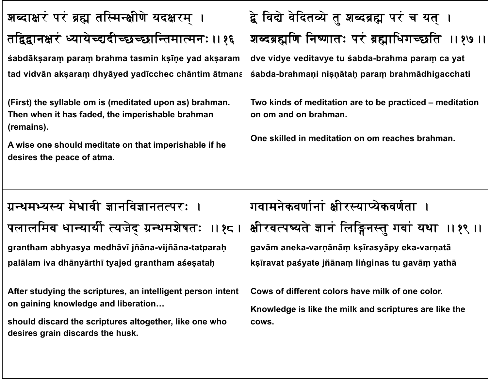| शब्दाक्षरं परं ब्रह्म तस्मिन्क्षीणे यदक्षरम् ।                                                                                                                                                                                                                                                                               | द्वे विद्ये वेदितव्ये तु शब्दब्रह्म परं च यत् ।                                                                                                                                                                                              |
|------------------------------------------------------------------------------------------------------------------------------------------------------------------------------------------------------------------------------------------------------------------------------------------------------------------------------|----------------------------------------------------------------------------------------------------------------------------------------------------------------------------------------------------------------------------------------------|
| तद्विद्वानक्षरं ध्यायेच्द्यदीच्छच्छान्तिमात्मनः ।। १६                                                                                                                                                                                                                                                                        | शब्दब्रह्मणि निष्णातः परं ब्रह्माधिगच्छति ।। १७ ।                                                                                                                                                                                            |
| śabdākṣaraṃ paraṃ brahma tasmin kṣīṇe yad akṣaram<br>tad vidvān aksaram dhyāyed yadīcchec chāntim ātmana<br>(First) the syllable om is (meditated upon as) brahman.<br>Then when it has faded, the imperishable brahman<br>(remains).<br>A wise one should meditate on that imperishable if he<br>desires the peace of atma. | dve vidye veditavye tu śabda-brahma param ca yat<br>śabda-brahmani nișnātah param brahmādhigacchati<br>Two kinds of meditation are to be practiced – meditation<br>on om and on brahman.<br>One skilled in meditation on om reaches brahman. |
| ग्रन्थमभ्यस्य मेधावी ज्ञानविज्ञानतत्परः ।<br>पलालमिव धान्यार्यी त्यजेद ग्रन्थमशेषतः ॥१८।<br>grantham abhyasya medhāvī jñāna-vijñāna-tatparaḥ<br>palālam iva dhānyārthī tyajed grantham aśesataḥ                                                                                                                              | गवामनेकवर्णानां क्षीरस्याप्येकवर्णता ।<br>क्षीरवत्पष्यते ज्ञानं लिङ्गिनस्तू गवां यथा ।।१९ ।।<br>gavām aneka-varņānām ksīrasyāpy eka-varņatā<br>ksīravat paśyate jñānam linginas tu gavām yathā                                               |
| After studying the scriptures, an intelligent person intent<br>on gaining knowledge and liberation<br>should discard the scriptures altogether, like one who                                                                                                                                                                 | Cows of different colors have milk of one color.<br>Knowledge is like the milk and scriptures are like the                                                                                                                                   |